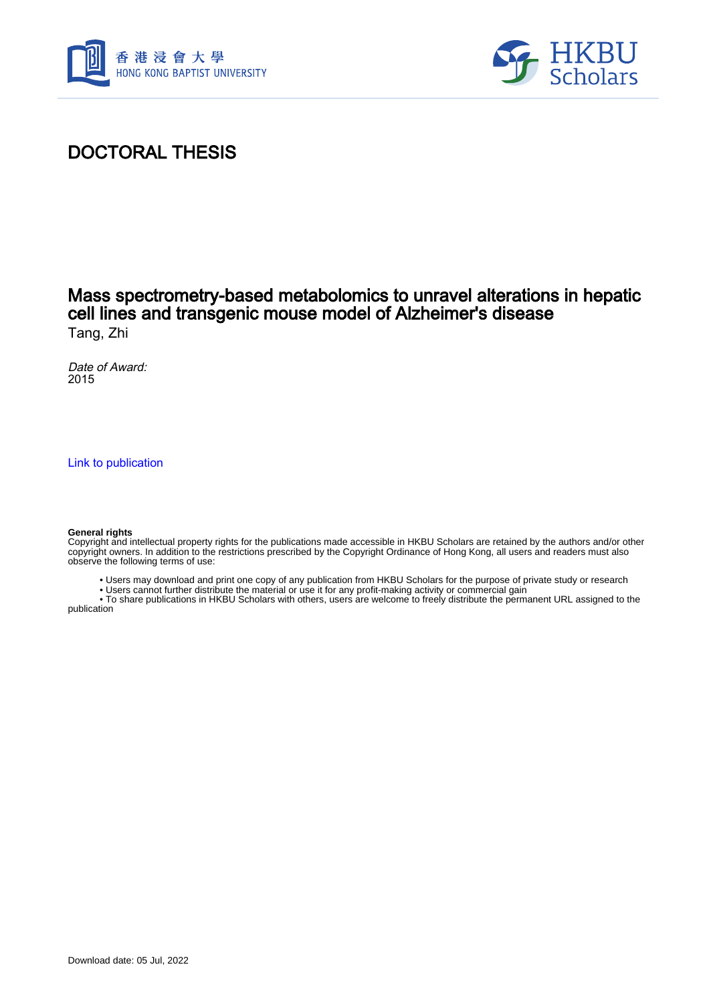



# DOCTORAL THESIS

### Mass spectrometry-based metabolomics to unravel alterations in hepatic cell lines and transgenic mouse model of Alzheimer's disease Tang, Zhi

Date of Award: 2015

[Link to publication](https://scholars.hkbu.edu.hk/en/studentTheses/7b4095b8-368a-4ddf-bd16-070c2834c778)

#### **General rights**

Copyright and intellectual property rights for the publications made accessible in HKBU Scholars are retained by the authors and/or other copyright owners. In addition to the restrictions prescribed by the Copyright Ordinance of Hong Kong, all users and readers must also observe the following terms of use:

- Users may download and print one copy of any publication from HKBU Scholars for the purpose of private study or research
- Users cannot further distribute the material or use it for any profit-making activity or commercial gain

 • To share publications in HKBU Scholars with others, users are welcome to freely distribute the permanent URL assigned to the publication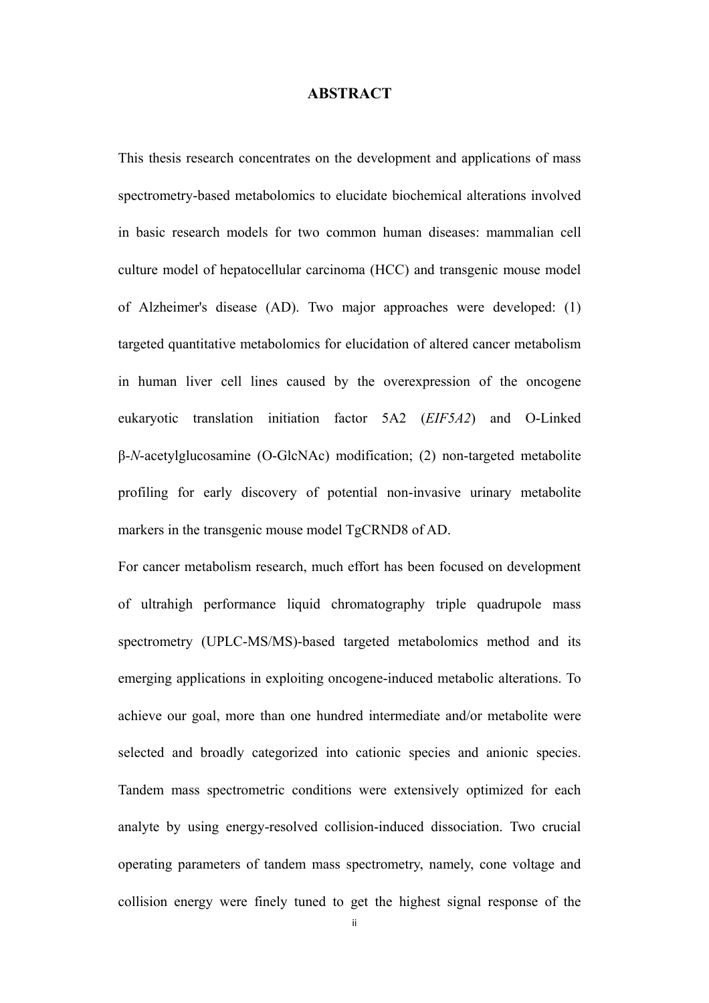#### **ABSTRACT**

This thesis research concentrates on the development and applications of mass spectrometry-based metabolomics to elucidate biochemical alterations involved in basic research models for two common human diseases: mammalian cell culture model of hepatocellular carcinoma (HCC) and transgenic mouse model of Alzheimer's disease (AD). Two major approaches were developed: (1) targeted quantitative metabolomics for elucidation of altered cancer metabolism in human liver cell lines caused by the overexpression of the oncogene eukaryotic translation initiation factor 5A2 (*EIF5A2*) and O-Linked β-*N*-acetylglucosamine (O-GlcNAc) modification; (2) non-targeted metabolite profiling for early discovery of potential non-invasive urinary metabolite markers in the transgenic mouse model TgCRND8 of AD.

For cancer metabolism research, much effort has been focused on development of ultrahigh performance liquid chromatography triple quadrupole mass spectrometry (UPLC-MS/MS)-based targeted metabolomics method and its emerging applications in exploiting oncogene-induced metabolic alterations. To achieve our goal, more than one hundred intermediate and/or metabolite were selected and broadly categorized into cationic species and anionic species. Tandem mass spectrometric conditions were extensively optimized for each analyte by using energy-resolved collision-induced dissociation. Two crucial operating parameters of tandem mass spectrometry, namely, cone voltage and collision energy were finely tuned to get the highest signal response of the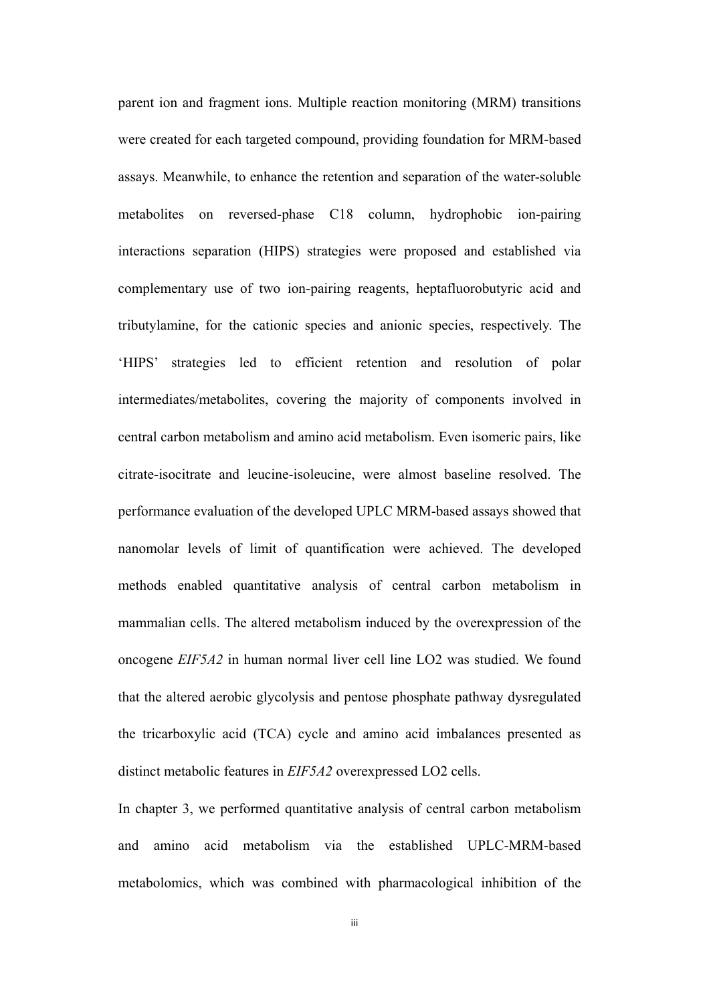parent ion and fragment ions. Multiple reaction monitoring (MRM) transitions were created for each targeted compound, providing foundation for MRM-based assays. Meanwhile, to enhance the retention and separation of the water-soluble metabolites on reversed-phase C18 column, hydrophobic ion-pairing interactions separation (HIPS) strategies were proposed and established via complementary use of two ion-pairing reagents, heptafluorobutyric acid and tributylamine, for the cationic species and anionic species, respectively. The 'HIPS' strategies led to efficient retention and resolution of polar intermediates/metabolites, covering the majority of components involved in central carbon metabolism and amino acid metabolism. Even isomeric pairs, like citrate-isocitrate and leucine-isoleucine, were almost baseline resolved. The performance evaluation of the developed UPLC MRM-based assays showed that nanomolar levels of limit of quantification were achieved. The developed methods enabled quantitative analysis of central carbon metabolism in mammalian cells. The altered metabolism induced by the overexpression of the oncogene *EIF5A2* in human normal liver cell line LO2 was studied. We found that the altered aerobic glycolysis and pentose phosphate pathway dysregulated the tricarboxylic acid (TCA) cycle and amino acid imbalances presented as distinct metabolic features in *EIF5A2* overexpressed LO2 cells.

In chapter 3, we performed quantitative analysis of central carbon metabolism and amino acid metabolism via the established UPLC-MRM-based metabolomics, which was combined with pharmacological inhibition of the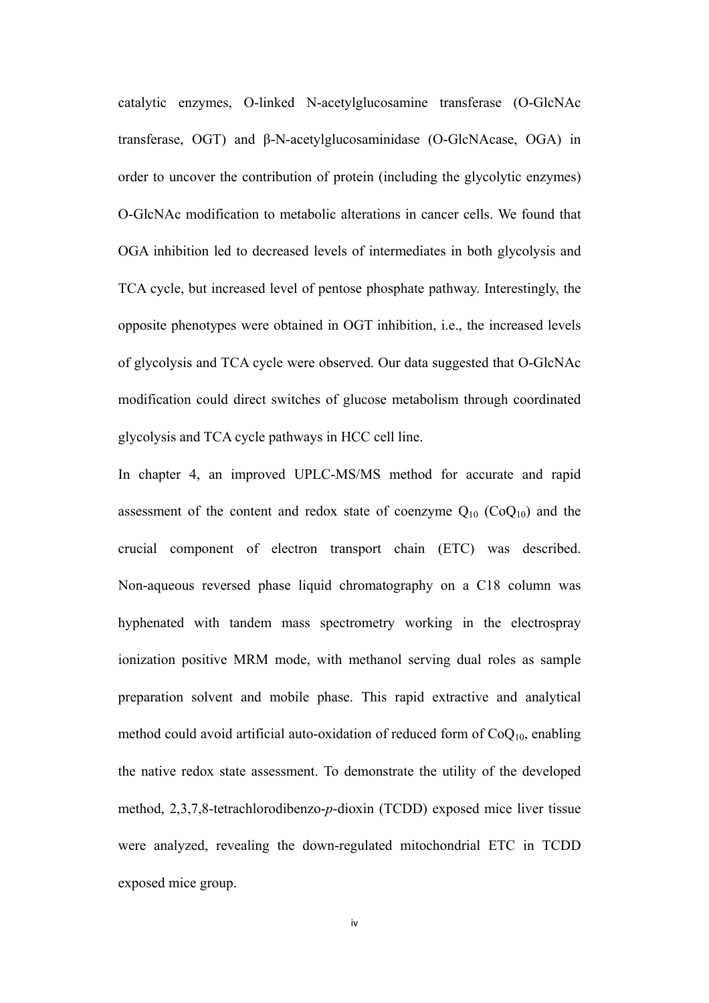catalytic enzymes, O-linked N-acetylglucosamine transferase (O-GlcNAc transferase, OGT) and β-N-acetylglucosaminidase (O-GlcNAcase, OGA) in order to uncover the contribution of protein (including the glycolytic enzymes) O-GlcNAc modification to metabolic alterations in cancer cells. We found that OGA inhibition led to decreased levels of intermediates in both glycolysis and TCA cycle, but increased level of pentose phosphate pathway. Interestingly, the opposite phenotypes were obtained in OGT inhibition, i.e., the increased levels of glycolysis and TCA cycle were observed. Our data suggested that O-GlcNAc modification could direct switches of glucose metabolism through coordinated glycolysis and TCA cycle pathways in HCC cell line.

In chapter 4, an improved UPLC-MS/MS method for accurate and rapid assessment of the content and redox state of coenzyme  $Q_{10}$  (Co $Q_{10}$ ) and the crucial component of electron transport chain (ETC) was described. Non-aqueous reversed phase liquid chromatography on a C18 column was hyphenated with tandem mass spectrometry working in the electrospray ionization positive MRM mode, with methanol serving dual roles as sample preparation solvent and mobile phase. This rapid extractive and analytical method could avoid artificial auto-oxidation of reduced form of  $CoQ<sub>10</sub>$ , enabling the native redox state assessment. To demonstrate the utility of the developed method, 2,3,7,8-tetrachlorodibenzo-*p*-dioxin (TCDD) exposed mice liver tissue were analyzed, revealing the down-regulated mitochondrial ETC in TCDD exposed mice group.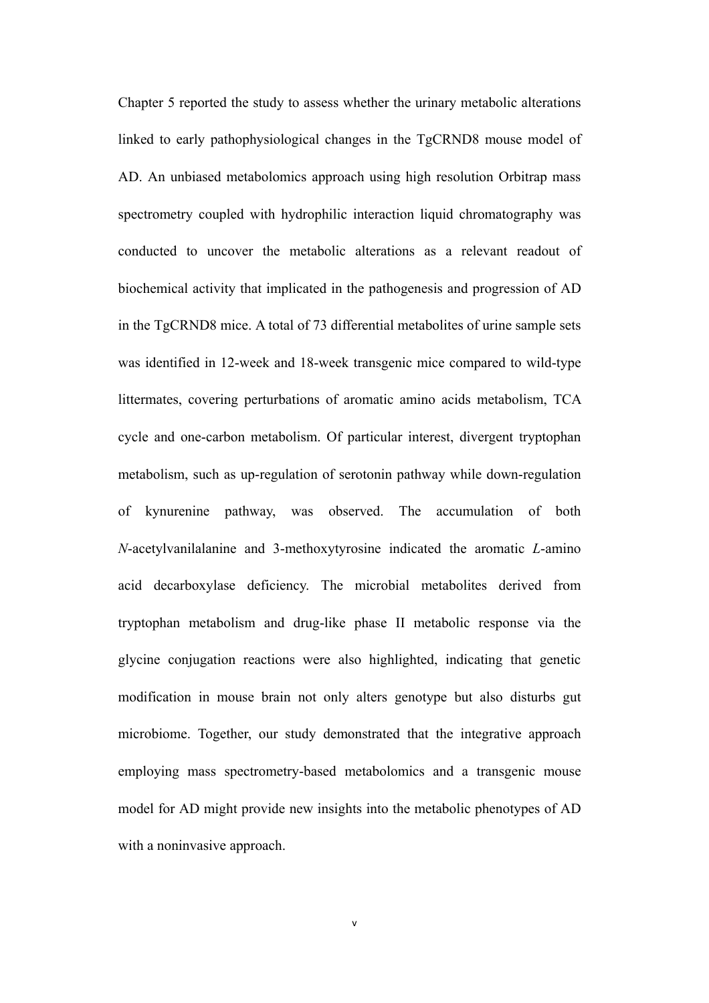Chapter 5 reported the study to assess whether the urinary metabolic alterations linked to early pathophysiological changes in the TgCRND8 mouse model of AD. An unbiased metabolomics approach using high resolution Orbitrap mass spectrometry coupled with hydrophilic interaction liquid chromatography was conducted to uncover the metabolic alterations as a relevant readout of biochemical activity that implicated in the pathogenesis and progression of AD in the TgCRND8 mice. A total of 73 differential metabolites of urine sample sets was identified in 12-week and 18-week transgenic mice compared to wild-type littermates, covering perturbations of aromatic amino acids metabolism, TCA cycle and one-carbon metabolism. Of particular interest, divergent tryptophan metabolism, such as up-regulation of serotonin pathway while down-regulation of kynurenine pathway, was observed. The accumulation of both *N*-acetylvanilalanine and 3-methoxytyrosine indicated the aromatic *L*-amino acid decarboxylase deficiency. The microbial metabolites derived from tryptophan metabolism and drug-like phase II metabolic response via the glycine conjugation reactions were also highlighted, indicating that genetic modification in mouse brain not only alters genotype but also disturbs gut microbiome. Together, our study demonstrated that the integrative approach employing mass spectrometry-based metabolomics and a transgenic mouse model for AD might provide new insights into the metabolic phenotypes of AD with a noninvasive approach.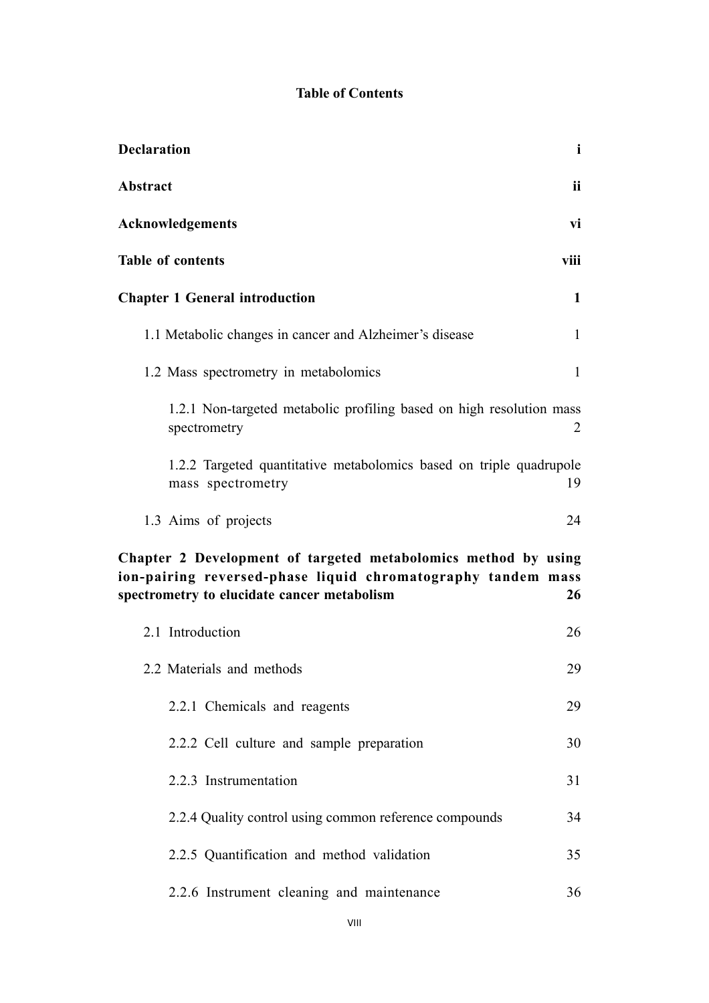## **Table of Contents**

| <b>Declaration</b>                                                                                                                                                            | $\mathbf{i}$ |
|-------------------------------------------------------------------------------------------------------------------------------------------------------------------------------|--------------|
| Abstract                                                                                                                                                                      | ii           |
| Acknowledgements                                                                                                                                                              | vi           |
| Table of contents                                                                                                                                                             | viii         |
| <b>Chapter 1 General introduction</b>                                                                                                                                         | $\mathbf{1}$ |
| 1.1 Metabolic changes in cancer and Alzheimer's disease                                                                                                                       | $\mathbf{1}$ |
| 1.2 Mass spectrometry in metabolomics                                                                                                                                         | $\mathbf{1}$ |
| 1.2.1 Non-targeted metabolic profiling based on high resolution mass<br>spectrometry                                                                                          | 2            |
| 1.2.2 Targeted quantitative metabolomics based on triple quadrupole<br>mass spectrometry                                                                                      | 19           |
| 1.3 Aims of projects                                                                                                                                                          | 24           |
| Chapter 2 Development of targeted metabolomics method by using<br>ion-pairing reversed-phase liquid chromatography tandem mass<br>spectrometry to elucidate cancer metabolism | 26           |
| 2.1 Introduction                                                                                                                                                              | 26           |
| 2.2 Materials and methods                                                                                                                                                     | 29           |
| 2.2.1 Chemicals and reagents                                                                                                                                                  | 29           |
| 2.2.2 Cell culture and sample preparation                                                                                                                                     | 30           |
| 2.2.3 Instrumentation                                                                                                                                                         | 31           |
| 2.2.4 Quality control using common reference compounds                                                                                                                        | 34           |
| 2.2.5 Quantification and method validation                                                                                                                                    | 35           |
| 2.2.6 Instrument cleaning and maintenance                                                                                                                                     | 36           |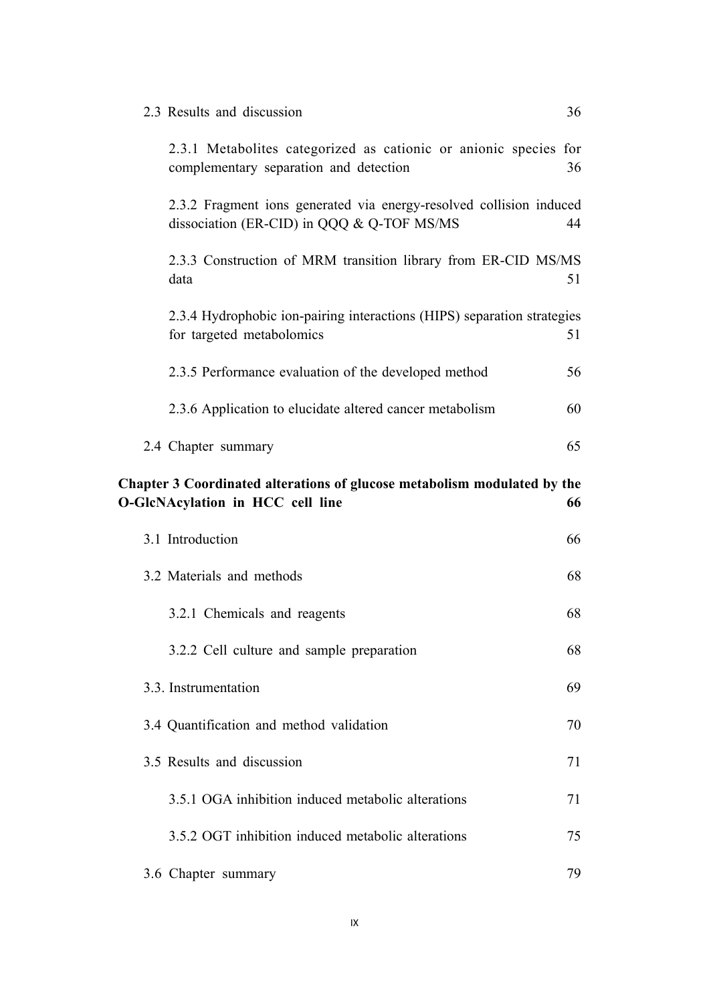| 2.3 Results and discussion                                                                                        | 36 |
|-------------------------------------------------------------------------------------------------------------------|----|
| 2.3.1 Metabolites categorized as cationic or anionic species for<br>complementary separation and detection        | 36 |
| 2.3.2 Fragment ions generated via energy-resolved collision induced<br>dissociation (ER-CID) in QQQ & Q-TOF MS/MS | 44 |
| 2.3.3 Construction of MRM transition library from ER-CID MS/MS<br>data                                            | 51 |
| 2.3.4 Hydrophobic ion-pairing interactions (HIPS) separation strategies<br>for targeted metabolomics              | 51 |
| 2.3.5 Performance evaluation of the developed method                                                              | 56 |
| 2.3.6 Application to elucidate altered cancer metabolism                                                          | 60 |
| 2.4 Chapter summary                                                                                               | 65 |
| Chapter 3 Coordinated alterations of glucose metabolism modulated by the<br>O-GlcNAcylation in HCC cell line      | 66 |
| 3.1 Introduction                                                                                                  | 66 |
| 3.2 Materials and methods                                                                                         | 68 |
| 3.2.1 Chemicals and reagents                                                                                      | 68 |
|                                                                                                                   |    |
| 3.2.2 Cell culture and sample preparation                                                                         | 68 |
| 3.3. Instrumentation                                                                                              | 69 |
| 3.4 Quantification and method validation                                                                          | 70 |
| 3.5 Results and discussion                                                                                        | 71 |
| 3.5.1 OGA inhibition induced metabolic alterations                                                                | 71 |
| 3.5.2 OGT inhibition induced metabolic alterations                                                                | 75 |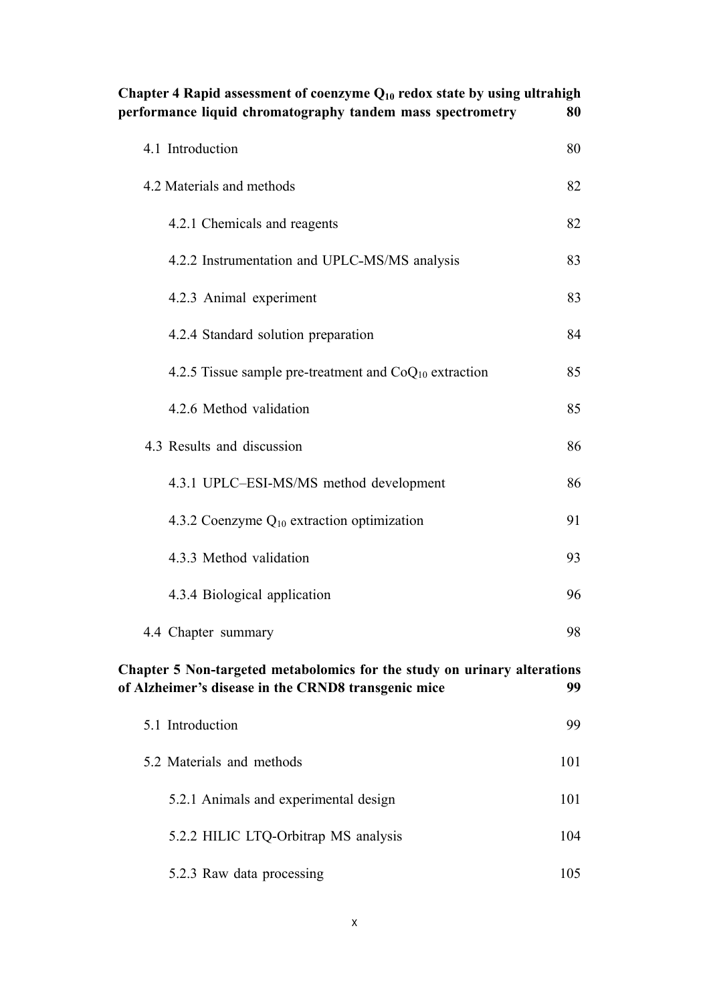| Chapter 4 Rapid assessment of coenzyme $Q_{10}$ redox state by using ultrahigh<br>performance liquid chromatography tandem mass spectrometry | 80  |
|----------------------------------------------------------------------------------------------------------------------------------------------|-----|
| 4.1 Introduction                                                                                                                             | 80  |
| 4.2 Materials and methods                                                                                                                    | 82  |
| 4.2.1 Chemicals and reagents                                                                                                                 | 82  |
| 4.2.2 Instrumentation and UPLC-MS/MS analysis                                                                                                | 83  |
| 4.2.3 Animal experiment                                                                                                                      | 83  |
| 4.2.4 Standard solution preparation                                                                                                          | 84  |
| 4.2.5 Tissue sample pre-treatment and $CoQ_{10}$ extraction                                                                                  | 85  |
| 4.2.6 Method validation                                                                                                                      | 85  |
| 4.3 Results and discussion                                                                                                                   | 86  |
| 4.3.1 UPLC–ESI-MS/MS method development                                                                                                      | 86  |
| 4.3.2 Coenzyme $Q_{10}$ extraction optimization                                                                                              | 91  |
| 4.3.3 Method validation                                                                                                                      | 93  |
| 4.3.4 Biological application                                                                                                                 | 96  |
| 4.4 Chapter summary                                                                                                                          | 98  |
| Chapter 5 Non-targeted metabolomics for the study on urinary alterations<br>of Alzheimer's disease in the CRND8 transgenic mice              | 99  |
| 5.1 Introduction                                                                                                                             | 99  |
| 5.2 Materials and methods                                                                                                                    | 101 |
| 5.2.1 Animals and experimental design                                                                                                        | 101 |
| 5.2.2 HILIC LTQ-Orbitrap MS analysis                                                                                                         | 104 |
| 5.2.3 Raw data processing                                                                                                                    | 105 |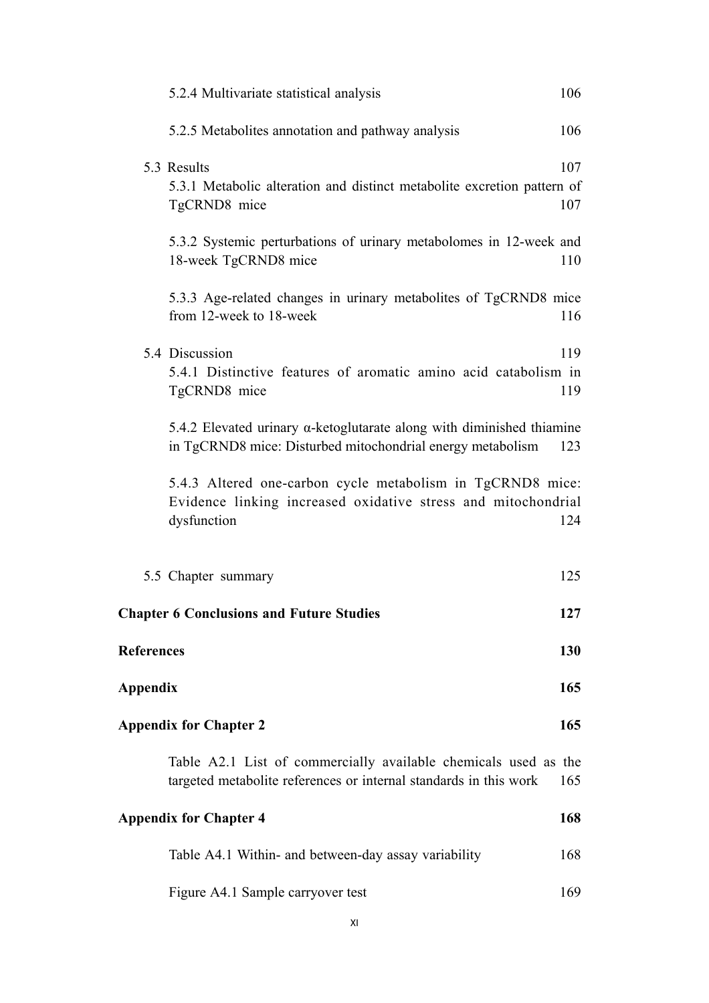|                   | 5.2.4 Multivariate statistical analysis                                                                                                     | 106        |
|-------------------|---------------------------------------------------------------------------------------------------------------------------------------------|------------|
|                   | 5.2.5 Metabolites annotation and pathway analysis                                                                                           | 106        |
|                   | 5.3 Results<br>5.3.1 Metabolic alteration and distinct metabolite excretion pattern of<br>TgCRND8 mice                                      | 107<br>107 |
|                   | 5.3.2 Systemic perturbations of urinary metabolomes in 12-week and<br>18-week TgCRND8 mice                                                  | 110        |
|                   | 5.3.3 Age-related changes in urinary metabolites of TgCRND8 mice<br>from 12-week to 18-week                                                 | 116        |
|                   | 5.4 Discussion<br>5.4.1 Distinctive features of aromatic amino acid catabolism in<br>TgCRND8 mice                                           | 119<br>119 |
|                   | 5.4.2 Elevated urinary $\alpha$ -ketoglutarate along with diminished thiamine<br>in TgCRND8 mice: Disturbed mitochondrial energy metabolism | 123        |
|                   | 5.4.3 Altered one-carbon cycle metabolism in TgCRND8 mice:<br>Evidence linking increased oxidative stress and mitochondrial<br>dysfunction  | 124        |
|                   | 5.5 Chapter summary                                                                                                                         | 125        |
|                   | <b>Chapter 6 Conclusions and Future Studies</b>                                                                                             | 127        |
| <b>References</b> |                                                                                                                                             | 130        |
| <b>Appendix</b>   |                                                                                                                                             | 165        |
|                   | <b>Appendix for Chapter 2</b>                                                                                                               | 165        |
|                   | Table A2.1 List of commercially available chemicals used as the<br>targeted metabolite references or internal standards in this work        | 165        |
|                   | <b>Appendix for Chapter 4</b>                                                                                                               | 168        |
|                   | Table A4.1 Within- and between-day assay variability                                                                                        | 168        |
|                   | Figure A4.1 Sample carryover test                                                                                                           | 169        |
|                   |                                                                                                                                             |            |